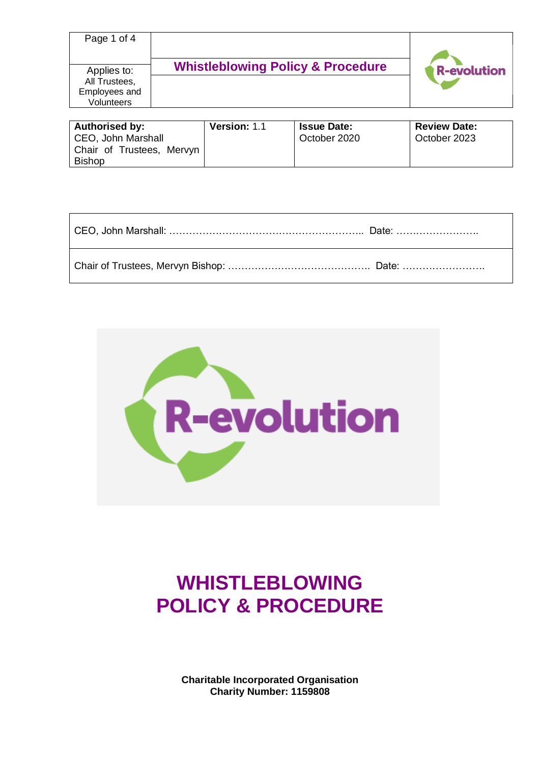| Page 1 of 4                        |                                              |                    |
|------------------------------------|----------------------------------------------|--------------------|
| Applies to:<br>All Trustees,       | <b>Whistleblowing Policy &amp; Procedure</b> | <b>R-evolution</b> |
| Employees and<br><b>Volunteers</b> |                                              |                    |

| <b>Authorised by:</b>     | <b>Version: 1.1</b> | <b>Issue Date:</b> | <b>Review Date:</b> |
|---------------------------|---------------------|--------------------|---------------------|
| CEO, John Marshall        |                     | October 2020       | October 2023        |
| Chair of Trustees, Mervyn |                     |                    |                     |
| <b>Bishop</b>             |                     |                    |                     |

| CEO, John Marshall: ……………………………………………………… Date: …………………… |  |
|----------------------------------------------------------|--|
|                                                          |  |



# **WHISTLEBLOWING POLICY & PROCEDURE**

**Charitable Incorporated Organisation Charity Number: 1159808**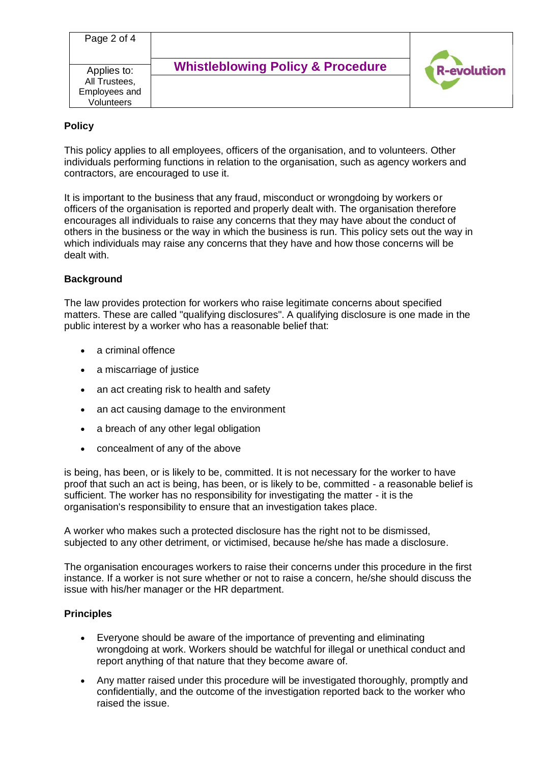| Page 2 of 4   |                                              |                    |
|---------------|----------------------------------------------|--------------------|
| Applies to:   | <b>Whistleblowing Policy &amp; Procedure</b> | <b>R-evolution</b> |
| All Trustees, |                                              |                    |
| Employees and |                                              |                    |
| Volunteers    |                                              |                    |

## **Policy**

This policy applies to all employees, officers of the organisation, and to volunteers. Other individuals performing functions in relation to the organisation, such as agency workers and contractors, are encouraged to use it.

It is important to the business that any fraud, misconduct or wrongdoing by workers or officers of the organisation is reported and properly dealt with. The organisation therefore encourages all individuals to raise any concerns that they may have about the conduct of others in the business or the way in which the business is run. This policy sets out the way in which individuals may raise any concerns that they have and how those concerns will be dealt with.

### **Background**

The law provides protection for workers who raise legitimate concerns about specified matters. These are called "qualifying disclosures". A qualifying disclosure is one made in the public interest by a worker who has a reasonable belief that:

- a criminal offence
- a miscarriage of justice
- an act creating risk to health and safety
- an act causing damage to the environment
- a breach of any other legal obligation
- concealment of any of the above

is being, has been, or is likely to be, committed. It is not necessary for the worker to have proof that such an act is being, has been, or is likely to be, committed - a reasonable belief is sufficient. The worker has no responsibility for investigating the matter - it is the organisation's responsibility to ensure that an investigation takes place.

A worker who makes such a protected disclosure has the right not to be dismissed, subjected to any other detriment, or victimised, because he/she has made a disclosure.

The organisation encourages workers to raise their concerns under this procedure in the first instance. If a worker is not sure whether or not to raise a concern, he/she should discuss the issue with his/her manager or the HR department.

#### **Principles**

- Everyone should be aware of the importance of preventing and eliminating wrongdoing at work. Workers should be watchful for illegal or unethical conduct and report anything of that nature that they become aware of.
- Any matter raised under this procedure will be investigated thoroughly, promptly and confidentially, and the outcome of the investigation reported back to the worker who raised the issue.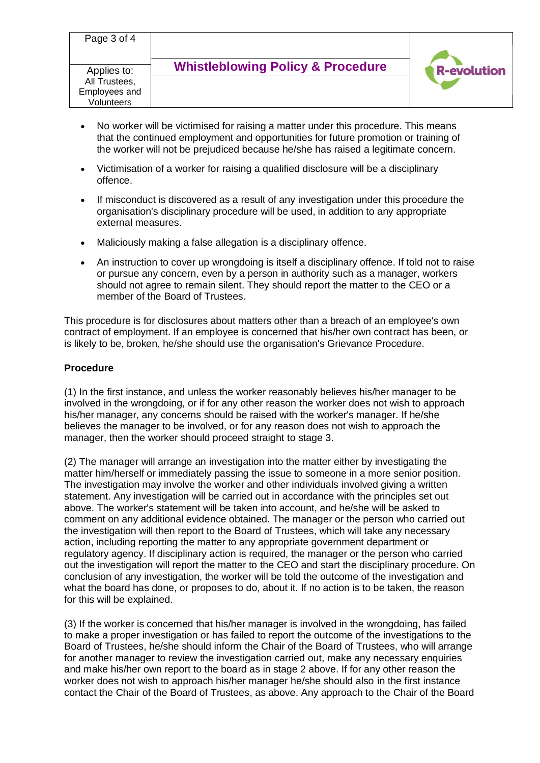| Page 3 of 4   |                                              |                    |
|---------------|----------------------------------------------|--------------------|
| Applies to:   | <b>Whistleblowing Policy &amp; Procedure</b> | <b>R-evolution</b> |
| All Trustees, |                                              |                    |
| Employees and |                                              |                    |
| Volunteers    |                                              |                    |
|               |                                              |                    |

- No worker will be victimised for raising a matter under this procedure. This means that the continued employment and opportunities for future promotion or training of the worker will not be prejudiced because he/she has raised a legitimate concern.
- Victimisation of a worker for raising a qualified disclosure will be a disciplinary offence.
- If misconduct is discovered as a result of any investigation under this procedure the organisation's disciplinary procedure will be used, in addition to any appropriate external measures.
- Maliciously making a false allegation is a disciplinary offence.
- An instruction to cover up wrongdoing is itself a disciplinary offence. If told not to raise or pursue any concern, even by a person in authority such as a manager, workers should not agree to remain silent. They should report the matter to the CEO or a member of the Board of Trustees.

This procedure is for disclosures about matters other than a breach of an employee's own contract of employment. If an employee is concerned that his/her own contract has been, or is likely to be, broken, he/she should use the organisation's Grievance Procedure.

### **Procedure**

(1) In the first instance, and unless the worker reasonably believes his/her manager to be involved in the wrongdoing, or if for any other reason the worker does not wish to approach his/her manager, any concerns should be raised with the worker's manager. If he/she believes the manager to be involved, or for any reason does not wish to approach the manager, then the worker should proceed straight to stage 3.

(2) The manager will arrange an investigation into the matter either by investigating the matter him/herself or immediately passing the issue to someone in a more senior position. The investigation may involve the worker and other individuals involved giving a written statement. Any investigation will be carried out in accordance with the principles set out above. The worker's statement will be taken into account, and he/she will be asked to comment on any additional evidence obtained. The manager or the person who carried out the investigation will then report to the Board of Trustees, which will take any necessary action, including reporting the matter to any appropriate government department or regulatory agency. If disciplinary action is required, the manager or the person who carried out the investigation will report the matter to the CEO and start the disciplinary procedure. On conclusion of any investigation, the worker will be told the outcome of the investigation and what the board has done, or proposes to do, about it. If no action is to be taken, the reason for this will be explained.

(3) If the worker is concerned that his/her manager is involved in the wrongdoing, has failed to make a proper investigation or has failed to report the outcome of the investigations to the Board of Trustees, he/she should inform the Chair of the Board of Trustees, who will arrange for another manager to review the investigation carried out, make any necessary enquiries and make his/her own report to the board as in stage 2 above. If for any other reason the worker does not wish to approach his/her manager he/she should also in the first instance contact the Chair of the Board of Trustees, as above. Any approach to the Chair of the Board